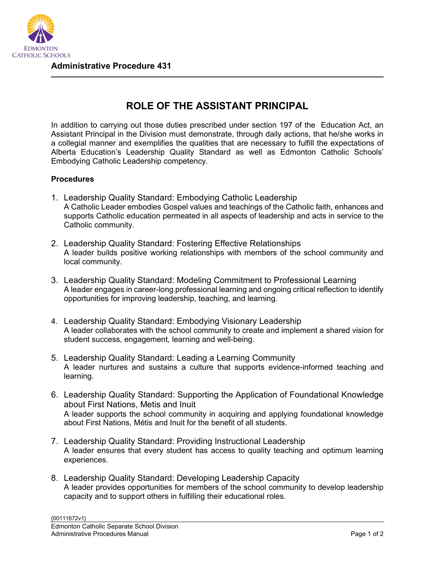

## **ROLE OF THE ASSISTANT PRINCIPAL**

In addition to carrying out those duties prescribed under section 197 of the Education Act, an Assistant Principal in the Division must demonstrate, through daily actions, that he/she works in a collegial manner and exemplifies the qualities that are necessary to fulfill the expectations of Alberta Education's Leadership Quality Standard as well as Edmonton Catholic Schools' Embodying Catholic Leadership competency.

## **Procedures**

- 1. Leadership Quality Standard: Embodying Catholic Leadership A Catholic Leader embodies Gospel values and teachings of the Catholic faith, enhances and supports Catholic education permeated in all aspects of leadership and acts in service to the Catholic community.
- 2. Leadership Quality Standard: Fostering Effective Relationships A leader builds positive working relationships with members of the school community and local community.
- 3. Leadership Quality Standard: Modeling Commitment to Professional Learning A leader engages in career-long professional learning and ongoing critical reflection to identify opportunities for improving leadership, teaching, and learning.
- 4. Leadership Quality Standard: Embodying Visionary Leadership A leader collaborates with the school community to create and implement a shared vision for student success, engagement, learning and well-being.
- 5. Leadership Quality Standard: Leading a Learning Community A leader nurtures and sustains a culture that supports evidence-informed teaching and learning.
- 6. Leadership Quality Standard: Supporting the Application of Foundational Knowledge about First Nations, Metis and Inuit A leader supports the school community in acquiring and applying foundational knowledge about First Nations, Métis and Inuit for the benefit of all students.
- 7. Leadership Quality Standard: Providing Instructional Leadership A leader ensures that every student has access to quality teaching and optimum learning experiences.
- 8. Leadership Quality Standard: Developing Leadership Capacity A leader provides opportunities for members of the school community to develop leadership capacity and to support others in fulfilling their educational roles.